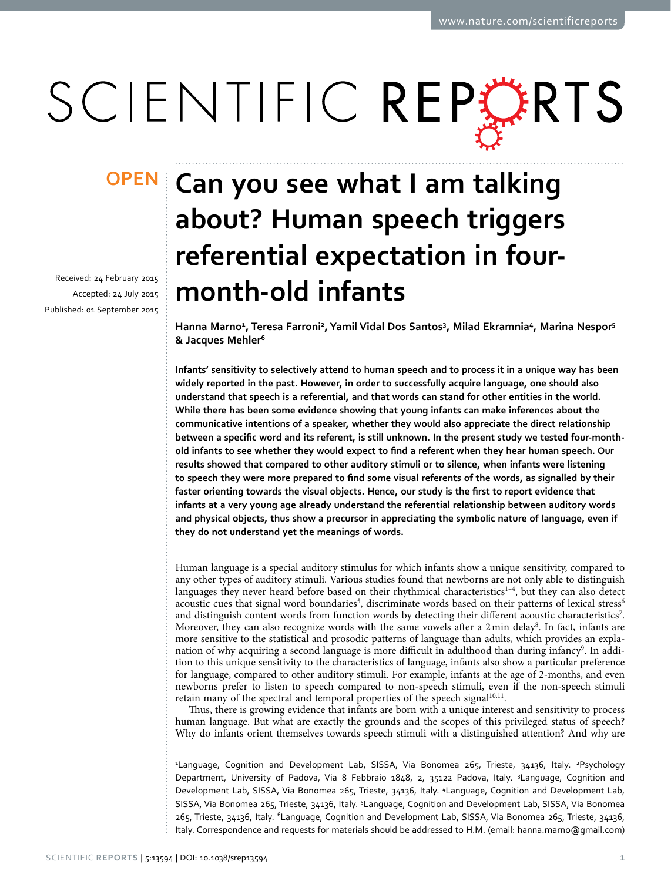# SCIENTIFIC REPERTS

received: 24 February 2015 accepted: 24 July 2015 Published: 01 September 2015

## **Can you see what I am talking OPENabout? Human speech triggers referential expectation in fourmonth-old infants**

**Hanna Marno1 , Teresa Farroni2 , Yamil Vidal Dos Santos3 , Milad Ekramnia4, Marina Nespor5 & Jacques Mehler6**

**Infants' sensitivity to selectively attend to human speech and to process it in a unique way has been widely reported in the past. However, in order to successfully acquire language, one should also understand that speech is a referential, and that words can stand for other entities in the world. While there has been some evidence showing that young infants can make inferences about the communicative intentions of a speaker, whether they would also appreciate the direct relationship between a specific word and its referent, is still unknown. In the present study we tested four-monthold infants to see whether they would expect to find a referent when they hear human speech. Our results showed that compared to other auditory stimuli or to silence, when infants were listening to speech they were more prepared to find some visual referents of the words, as signalled by their faster orienting towards the visual objects. Hence, our study is the first to report evidence that infants at a very young age already understand the referential relationship between auditory words and physical objects, thus show a precursor in appreciating the symbolic nature of language, even if they do not understand yet the meanings of words.**

Human language is a special auditory stimulus for which infants show a unique sensitivity, compared to any other types of auditory stimuli. Various studies found that newborns are not only able to distinguish languages they never heard before based on their rhythmical characteristics $1-4$ , but they can also detect acoustic cues that signal word boundaries<sup>[5](#page-8-1)</sup>, discriminate words based on their patterns of lexical stress<sup>[6](#page-8-2)</sup> and distinguish content words from function words by detecting their different acoustic characteristics<sup>[7](#page-8-3)</sup>. Moreover, they can also recognize words with the same vowels after a 2 min delay<sup>8</sup>. In fact, infants are more sensitive to the statistical and prosodic patterns of language than adults, which provides an expla-nation of why acquiring a second language is more difficult in adulthood than during infancy<sup>[9](#page-8-5)</sup>. In addition to this unique sensitivity to the characteristics of language, infants also show a particular preference for language, compared to other auditory stimuli. For example, infants at the age of 2-months, and even newborns prefer to listen to speech compared to non-speech stimuli, even if the non-speech stimuli retain many of the spectral and temporal properties of the speech signal<sup>10,[11](#page-8-7)</sup>.

Thus, there is growing evidence that infants are born with a unique interest and sensitivity to process human language. But what are exactly the grounds and the scopes of this privileged status of speech? Why do infants orient themselves towards speech stimuli with a distinguished attention? And why are

<sup>1</sup>Language, Cognition and Development Lab, SISSA, Via Bonomea 265, Trieste, 34136, Italy. <sup>2</sup>Psychology Department, University of Padova, Via 8 Febbraio 1848, 2, 35122 Padova, Italy. <sup>3</sup>Language, Cognition and Development Lab, SISSA, Via Bonomea 265, Trieste, 34136, Italy. <sup>4</sup>Language, Cognition and Development Lab, SISSA, Via Bonomea 265, Trieste, 34136, Italy. <sup>5</sup>Language, Cognition and Development Lab, SISSA, Via Bonomea 265, Trieste, 34136, Italy. 6Language, Cognition and Development Lab, SISSA, Via Bonomea 265, Trieste, 34136, Italy. Correspondence and requests for materials should be addressed to H.M. (email: [hanna.marno@gmail.com](mailto:hanna.marno@gmail.com))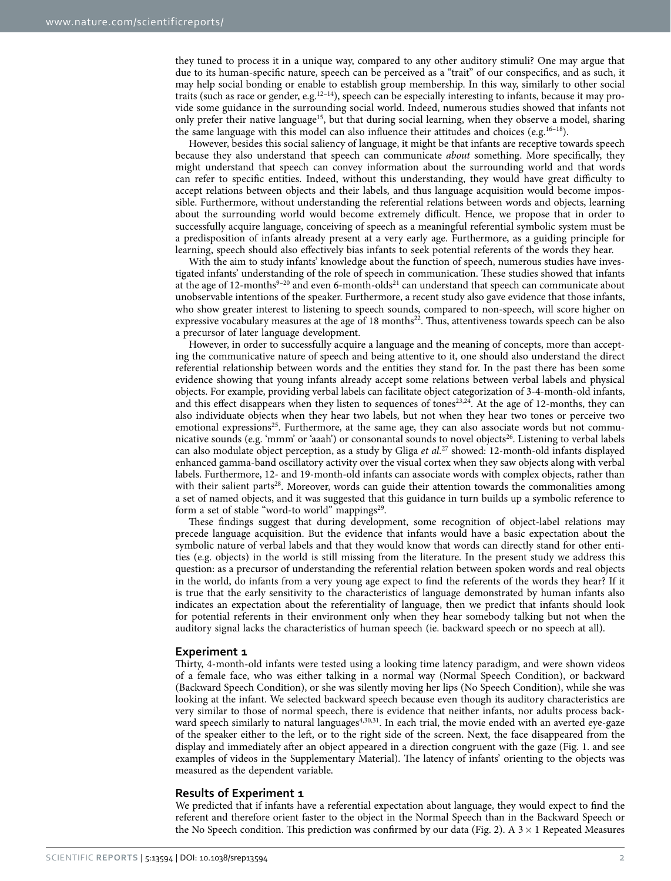they tuned to process it in a unique way, compared to any other auditory stimuli? One may argue that due to its human-specific nature, speech can be perceived as a "trait" of our conspecifics, and as such, it may help social bonding or enable to establish group membership. In this way, similarly to other social traits (such as race or gender, e.g[.12–14](#page-8-8)), speech can be especially interesting to infants, because it may provide some guidance in the surrounding social world. Indeed, numerous studies showed that infants not only prefer their native language<sup>15</sup>, but that during social learning, when they observe a model, sharing the same language with this model can also influence their attitudes and choices (e.g.<sup>16–18</sup>).

However, besides this social saliency of language, it might be that infants are receptive towards speech because they also understand that speech can communicate *about* something. More specifically, they might understand that speech can convey information about the surrounding world and that words can refer to specific entities. Indeed, without this understanding, they would have great difficulty to accept relations between objects and their labels, and thus language acquisition would become impossible. Furthermore, without understanding the referential relations between words and objects, learning about the surrounding world would become extremely difficult. Hence, we propose that in order to successfully acquire language, conceiving of speech as a meaningful referential symbolic system must be a predisposition of infants already present at a very early age. Furthermore, as a guiding principle for learning, speech should also effectively bias infants to seek potential referents of the words they hear.

With the aim to study infants' knowledge about the function of speech, numerous studies have investigated infants' understanding of the role of speech in communication. These studies showed that infants at the age of 12-months<sup>9-20</sup> and even 6-month-olds<sup>21</sup> can understand that speech can communicate about unobservable intentions of the speaker. Furthermore, a recent study also gave evidence that those infants, who show greater interest to listening to speech sounds, compared to non-speech, will score higher on expressive vocabulary measures at the age of 18 months<sup>22</sup>. Thus, attentiveness towards speech can be also a precursor of later language development.

However, in order to successfully acquire a language and the meaning of concepts, more than accepting the communicative nature of speech and being attentive to it, one should also understand the direct referential relationship between words and the entities they stand for. In the past there has been some evidence showing that young infants already accept some relations between verbal labels and physical objects. For example, providing verbal labels can facilitate object categorization of 3-4-month-old infants, and this effect disappears when they listen to sequences of tones<sup>[23](#page-8-13),24</sup>. At the age of 12-months, they can also individuate objects when they hear two labels, but not when they hear two tones or perceive two emotional expressions<sup>25</sup>. Furthermore, at the same age, they can also associate words but not communicative sounds (e.g. 'mmm' or 'aaah') or consonantal sounds to novel objects<sup>26</sup>. Listening to verbal labels can also modulate object perception, as a study by Gliga *et al.*[27](#page-9-2) showed: 12-month-old infants displayed enhanced gamma-band oscillatory activity over the visual cortex when they saw objects along with verbal labels. Furthermore, 12- and 19-month-old infants can associate words with complex objects, rather than with their salient parts<sup>28</sup>. Moreover, words can guide their attention towards the commonalities among a set of named objects, and it was suggested that this guidance in turn builds up a symbolic reference to form a set of stable "word-to world" mappings<sup>29</sup>.

These findings suggest that during development, some recognition of object-label relations may precede language acquisition. But the evidence that infants would have a basic expectation about the symbolic nature of verbal labels and that they would know that words can directly stand for other entities (e.g. objects) in the world is still missing from the literature. In the present study we address this question: as a precursor of understanding the referential relation between spoken words and real objects in the world, do infants from a very young age expect to find the referents of the words they hear? If it is true that the early sensitivity to the characteristics of language demonstrated by human infants also indicates an expectation about the referentiality of language, then we predict that infants should look for potential referents in their environment only when they hear somebody talking but not when the auditory signal lacks the characteristics of human speech (ie. backward speech or no speech at all).

#### **Experiment 1**

Thirty, 4-month-old infants were tested using a looking time latency paradigm, and were shown videos of a female face, who was either talking in a normal way (Normal Speech Condition), or backward (Backward Speech Condition), or she was silently moving her lips (No Speech Condition), while she was looking at the infant. We selected backward speech because even though its auditory characteristics are very similar to those of normal speech, there is evidence that neither infants, nor adults process back-ward speech similarly to natural languages<sup>[4](#page-8-15)[,30](#page-9-5),31</sup>. In each trial, the movie ended with an averted eye-gaze of the speaker either to the left, or to the right side of the screen. Next, the face disappeared from the display and immediately after an object appeared in a direction congruent with the gaze ([Fig. 1](#page-2-0). and see examples of videos in the Supplementary Material). The latency of infants' orienting to the objects was measured as the dependent variable.

#### **Results of Experiment 1**

We predicted that if infants have a referential expectation about language, they would expect to find the referent and therefore orient faster to the object in the Normal Speech than in the Backward Speech or the No Speech condition. This prediction was confirmed by our data ([Fig. 2](#page-2-1)). A  $3 \times 1$  Repeated Measures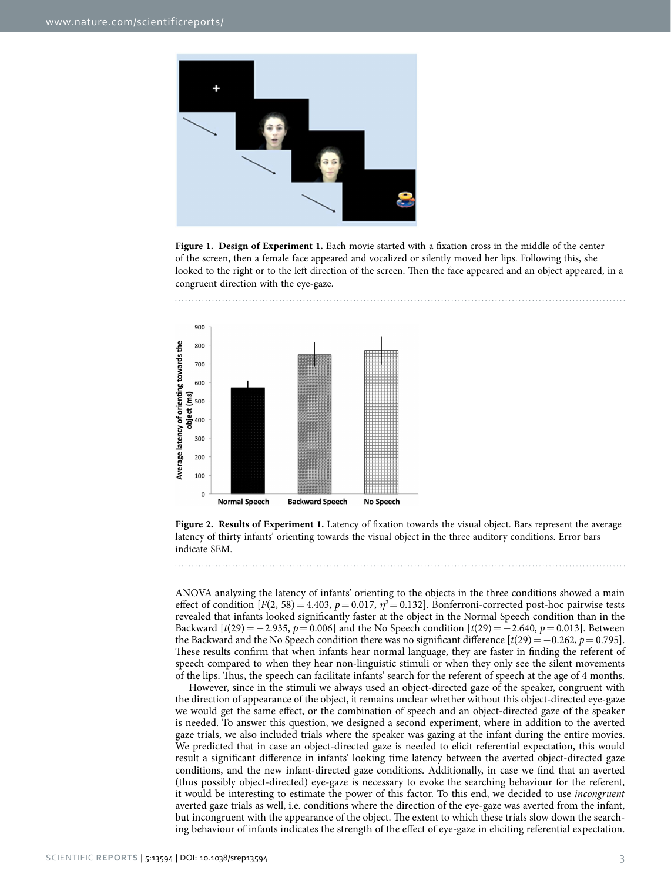

<span id="page-2-0"></span>**Figure 1. Design of Experiment 1.** Each movie started with a fixation cross in the middle of the center of the screen, then a female face appeared and vocalized or silently moved her lips. Following this, she looked to the right or to the left direction of the screen. Then the face appeared and an object appeared, in a congruent direction with the eye-gaze.



<span id="page-2-1"></span>**Figure 2. Results of Experiment 1.** Latency of fixation towards the visual object. Bars represent the average latency of thirty infants' orienting towards the visual object in the three auditory conditions. Error bars indicate SEM.

ANOVA analyzing the latency of infants' orienting to the objects in the three conditions showed a main effect of condition  $[F(2, 58)] = 4.403$ ,  $p = 0.017$ ,  $\eta^2 = 0.132$ . Bonferroni-corrected post-hoc pairwise tests revealed that infants looked significantly faster at the object in the Normal Speech condition than in the Backward  $[t(29) = -2.935, p = 0.006]$  and the No Speech condition  $[t(29) = -2.640, p = 0.013]$ . Between the Backward and the No Speech condition there was no significant difference  $\left[\frac{t(29)}{=}-0.262, p=0.795\right]$ . These results confirm that when infants hear normal language, they are faster in finding the referent of speech compared to when they hear non-linguistic stimuli or when they only see the silent movements of the lips. Thus, the speech can facilitate infants' search for the referent of speech at the age of 4 months.

However, since in the stimuli we always used an object-directed gaze of the speaker, congruent with the direction of appearance of the object, it remains unclear whether without this object-directed eye-gaze we would get the same effect, or the combination of speech and an object-directed gaze of the speaker is needed. To answer this question, we designed a second experiment, where in addition to the averted gaze trials, we also included trials where the speaker was gazing at the infant during the entire movies. We predicted that in case an object-directed gaze is needed to elicit referential expectation, this would result a significant difference in infants' looking time latency between the averted object-directed gaze conditions, and the new infant-directed gaze conditions. Additionally, in case we find that an averted (thus possibly object-directed) eye-gaze is necessary to evoke the searching behaviour for the referent, it would be interesting to estimate the power of this factor. To this end, we decided to use *incongruent* averted gaze trials as well, i.e. conditions where the direction of the eye-gaze was averted from the infant, but incongruent with the appearance of the object. The extent to which these trials slow down the searching behaviour of infants indicates the strength of the effect of eye-gaze in eliciting referential expectation.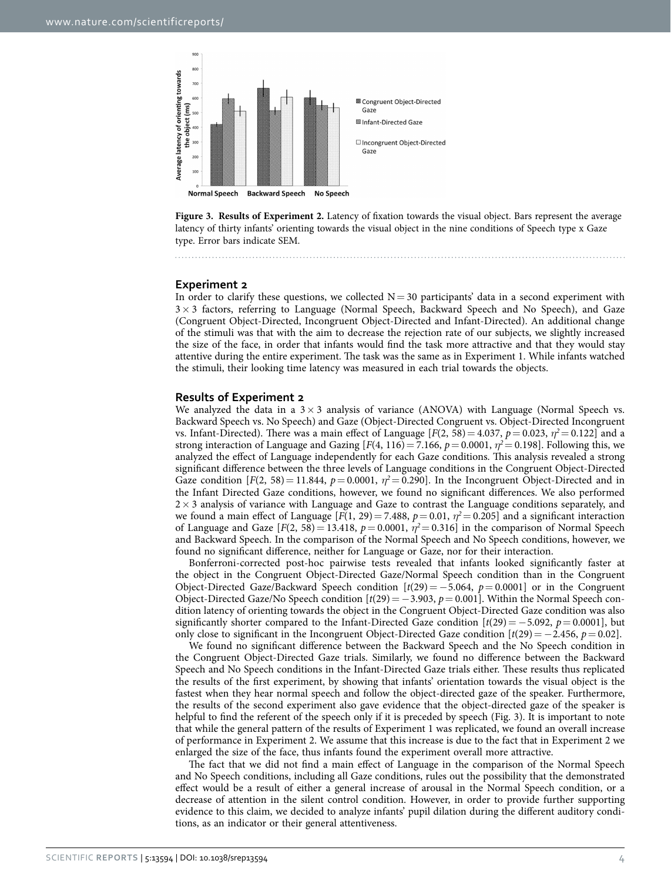

<span id="page-3-0"></span>**Figure 3. Results of Experiment 2.** Latency of fixation towards the visual object. Bars represent the average latency of thirty infants' orienting towards the visual object in the nine conditions of Speech type x Gaze type. Error bars indicate SEM.

### **Experiment 2**

In order to clarify these questions, we collected  $N=30$  participants' data in a second experiment with 3× 3 factors, referring to Language (Normal Speech, Backward Speech and No Speech), and Gaze (Congruent Object-Directed, Incongruent Object-Directed and Infant-Directed). An additional change of the stimuli was that with the aim to decrease the rejection rate of our subjects, we slightly increased the size of the face, in order that infants would find the task more attractive and that they would stay attentive during the entire experiment. The task was the same as in Experiment 1. While infants watched the stimuli, their looking time latency was measured in each trial towards the objects.

### **Results of Experiment 2**

We analyzed the data in a  $3 \times 3$  analysis of variance (ANOVA) with Language (Normal Speech vs. Backward Speech vs. No Speech) and Gaze (Object-Directed Congruent vs. Object-Directed Incongruent vs. Infant-Directed). There was a main effect of Language  $[F(2, 58) = 4.037, p = 0.023, \eta^2 = 0.122]$  and a strong interaction of Language and Gazing  $[F(4, 116) = 7.166, p = 0.0001, \eta^2 = 0.198]$ . Following this, we analyzed the effect of Language independently for each Gaze conditions. This analysis revealed a strong significant difference between the three levels of Language conditions in the Congruent Object-Directed Gaze condition  $[F(2, 58) = 11.844$ ,  $p = 0.0001$ ,  $\eta^2 = 0.290$ . In the Incongruent Object-Directed and in the Infant Directed Gaze conditions, however, we found no significant differences. We also performed  $2\times 3$  analysis of variance with Language and Gaze to contrast the Language conditions separately, and we found a main effect of Language  $[F(1, 29) = 7.488, p = 0.01, \eta^2 = 0.205]$  and a significant interaction of Language and Gaze  $[F(2, 58) = 13.418, p = 0.0001, \eta^2 = 0.316]$  in the comparison of Normal Speech and Backward Speech. In the comparison of the Normal Speech and No Speech conditions, however, we found no significant difference, neither for Language or Gaze, nor for their interaction.

Bonferroni-corrected post-hoc pairwise tests revealed that infants looked significantly faster at the object in the Congruent Object-Directed Gaze/Normal Speech condition than in the Congruent Object-Directed Gaze/Backward Speech condition [*t*(29)= −5.064, *p*= 0.0001] or in the Congruent Object-Directed Gaze/No Speech condition [*t*(29)= −3.903, *p*= 0.001]. Within the Normal Speech condition latency of orienting towards the object in the Congruent Object-Directed Gaze condition was also significantly shorter compared to the Infant-Directed Gaze condition  $[t(29) = -5.092, p = 0.0001]$ , but only close to significant in the Incongruent Object-Directed Gaze condition  $[t(29) = -2.456, p = 0.02]$ .

We found no significant difference between the Backward Speech and the No Speech condition in the Congruent Object-Directed Gaze trials. Similarly, we found no difference between the Backward Speech and No Speech conditions in the Infant-Directed Gaze trials either. These results thus replicated the results of the first experiment, by showing that infants' orientation towards the visual object is the fastest when they hear normal speech and follow the object-directed gaze of the speaker. Furthermore, the results of the second experiment also gave evidence that the object-directed gaze of the speaker is helpful to find the referent of the speech only if it is preceded by speech [\(Fig. 3\)](#page-3-0). It is important to note that while the general pattern of the results of Experiment 1 was replicated, we found an overall increase of performance in Experiment 2. We assume that this increase is due to the fact that in Experiment 2 we enlarged the size of the face, thus infants found the experiment overall more attractive.

The fact that we did not find a main effect of Language in the comparison of the Normal Speech and No Speech conditions, including all Gaze conditions, rules out the possibility that the demonstrated effect would be a result of either a general increase of arousal in the Normal Speech condition, or a decrease of attention in the silent control condition. However, in order to provide further supporting evidence to this claim, we decided to analyze infants' pupil dilation during the different auditory conditions, as an indicator or their general attentiveness.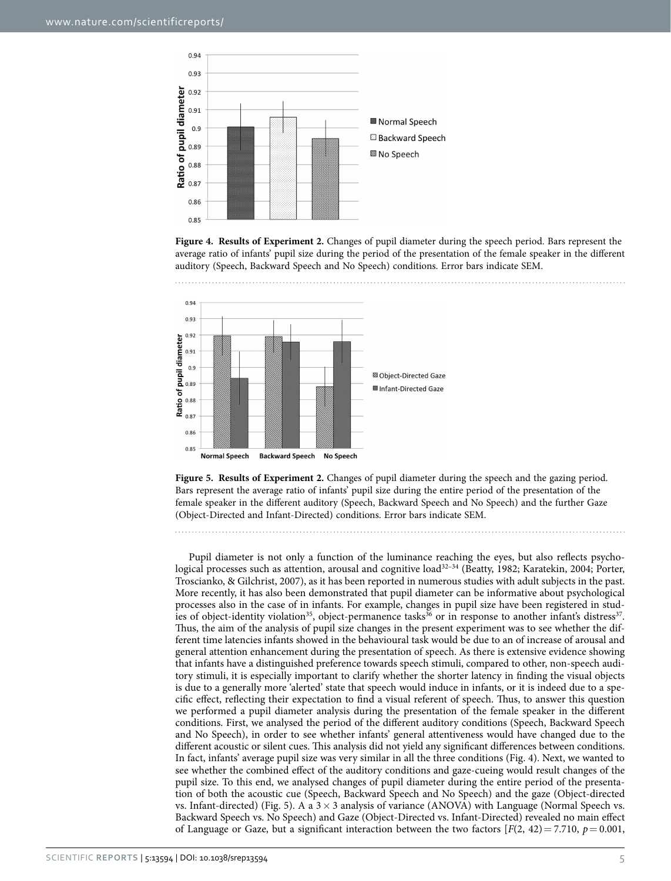

<span id="page-4-0"></span>**Figure 4. Results of Experiment 2.** Changes of pupil diameter during the speech period. Bars represent the average ratio of infants' pupil size during the period of the presentation of the female speaker in the different auditory (Speech, Backward Speech and No Speech) conditions. Error bars indicate SEM.



<span id="page-4-1"></span>**Figure 5. Results of Experiment 2.** Changes of pupil diameter during the speech and the gazing period. Bars represent the average ratio of infants' pupil size during the entire period of the presentation of the female speaker in the different auditory (Speech, Backward Speech and No Speech) and the further Gaze (Object-Directed and Infant-Directed) conditions. Error bars indicate SEM.

Pupil diameter is not only a function of the luminance reaching the eyes, but also reflects psychological processes such as attention, arousal and cognitive load<sup>32-34</sup> (Beatty, 1982; Karatekin, 2004; Porter, Troscianko, & Gilchrist, 2007), as it has been reported in numerous studies with adult subjects in the past. More recently, it has also been demonstrated that pupil diameter can be informative about psychological processes also in the case of in infants. For example, changes in pupil size have been registered in stud-ies of object-identity violation<sup>[35](#page-9-8)</sup>, object-permanence tasks<sup>36</sup> or in response to another infant's distress<sup>[37](#page-9-10)</sup>. Thus, the aim of the analysis of pupil size changes in the present experiment was to see whether the different time latencies infants showed in the behavioural task would be due to an of increase of arousal and general attention enhancement during the presentation of speech. As there is extensive evidence showing that infants have a distinguished preference towards speech stimuli, compared to other, non-speech auditory stimuli, it is especially important to clarify whether the shorter latency in finding the visual objects is due to a generally more 'alerted' state that speech would induce in infants, or it is indeed due to a specific effect, reflecting their expectation to find a visual referent of speech. Thus, to answer this question we performed a pupil diameter analysis during the presentation of the female speaker in the different conditions. First, we analysed the period of the different auditory conditions (Speech, Backward Speech and No Speech), in order to see whether infants' general attentiveness would have changed due to the different acoustic or silent cues. This analysis did not yield any significant differences between conditions. In fact, infants' average pupil size was very similar in all the three conditions [\(Fig. 4\)](#page-4-0). Next, we wanted to see whether the combined effect of the auditory conditions and gaze-cueing would result changes of the pupil size. To this end, we analysed changes of pupil diameter during the entire period of the presentation of both the acoustic cue (Speech, Backward Speech and No Speech) and the gaze (Object-directed vs. Infant-directed) [\(Fig. 5](#page-4-1)). A a  $3 \times 3$  analysis of variance (ANOVA) with Language (Normal Speech vs. Backward Speech vs. No Speech) and Gaze (Object-Directed vs. Infant-Directed) revealed no main effect of Language or Gaze, but a significant interaction between the two factors  $[F(2, 42) = 7.710, p = 0.001,$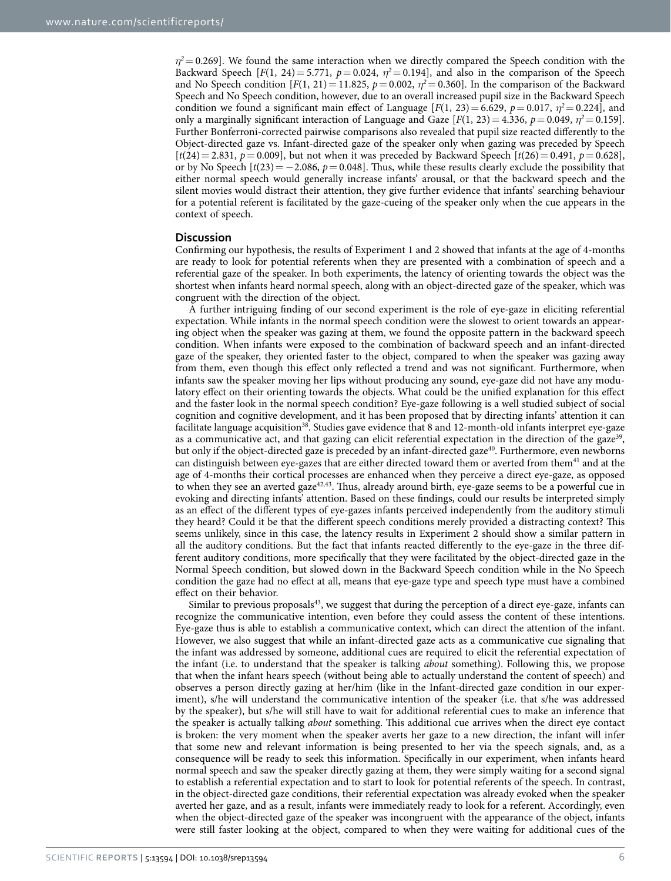$\eta^2$  = 0.269]. We found the same interaction when we directly compared the Speech condition with the Backward Speech [*F*(1, 24) = 5.771,  $p = 0.024$ ,  $\eta^2 = 0.194$ ], and also in the comparison of the Speech and No Speech condition  $[F(1, 21) = 11.825, p = 0.002, \eta^2 = 0.360]$ . In the comparison of the Backward Speech and No Speech condition, however, due to an overall increased pupil size in the Backward Speech condition we found a significant main effect of Language  $[F(1, 23) = 6.629, p = 0.017, \eta^2 = 0.224]$ , and only a marginally significant interaction of Language and Gaze  $[F(1, 23) = 4.336, p = 0.049, \eta^2 = 0.159]$ . Further Bonferroni-corrected pairwise comparisons also revealed that pupil size reacted differently to the Object-directed gaze vs. Infant-directed gaze of the speaker only when gazing was preceded by Speech  $[t(24) = 2.831, p = 0.009]$ , but not when it was preceded by Backward Speech  $[t(26) = 0.491, p = 0.628]$ , or by No Speech  $\left[\frac{t(23)}{2} - 2.086, p = 0.048\right]$ . Thus, while these results clearly exclude the possibility that either normal speech would generally increase infants' arousal, or that the backward speech and the silent movies would distract their attention, they give further evidence that infants' searching behaviour for a potential referent is facilitated by the gaze-cueing of the speaker only when the cue appears in the context of speech.

### **Discussion**

Confirming our hypothesis, the results of Experiment 1 and 2 showed that infants at the age of 4-months are ready to look for potential referents when they are presented with a combination of speech and a referential gaze of the speaker. In both experiments, the latency of orienting towards the object was the shortest when infants heard normal speech, along with an object-directed gaze of the speaker, which was congruent with the direction of the object.

A further intriguing finding of our second experiment is the role of eye-gaze in eliciting referential expectation. While infants in the normal speech condition were the slowest to orient towards an appearing object when the speaker was gazing at them, we found the opposite pattern in the backward speech condition. When infants were exposed to the combination of backward speech and an infant-directed gaze of the speaker, they oriented faster to the object, compared to when the speaker was gazing away from them, even though this effect only reflected a trend and was not significant. Furthermore, when infants saw the speaker moving her lips without producing any sound, eye-gaze did not have any modulatory effect on their orienting towards the objects. What could be the unified explanation for this effect and the faster look in the normal speech condition? Eye-gaze following is a well studied subject of social cognition and cognitive development, and it has been proposed that by directing infants' attention it can facilitate language acquisition<sup>38</sup>. Studies gave evidence that 8 and 12-month-old infants interpret eye-gaze as a communicative act, and that gazing can elicit referential expectation in the direction of the gaze<sup>[39](#page-9-12)</sup>, but only if the object-directed gaze is preceded by an infant-directed gaze<sup>40</sup>. Furthermore, even newborns can distinguish between eye-gazes that are either directed toward them or averted from them<sup>41</sup> and at the age of 4-months their cortical processes are enhanced when they perceive a direct eye-gaze, as opposed to when they see an averted gaze<sup>42,[43](#page-9-16)</sup>. Thus, already around birth, eye-gaze seems to be a powerful cue in evoking and directing infants' attention. Based on these findings, could our results be interpreted simply as an effect of the different types of eye-gazes infants perceived independently from the auditory stimuli they heard? Could it be that the different speech conditions merely provided a distracting context? This seems unlikely, since in this case, the latency results in Experiment 2 should show a similar pattern in all the auditory conditions. But the fact that infants reacted differently to the eye-gaze in the three different auditory conditions, more specifically that they were facilitated by the object-directed gaze in the Normal Speech condition, but slowed down in the Backward Speech condition while in the No Speech condition the gaze had no effect at all, means that eye-gaze type and speech type must have a combined effect on their behavior.

Similar to previous proposals $43$ , we suggest that during the perception of a direct eye-gaze, infants can recognize the communicative intention, even before they could assess the content of these intentions. Eye-gaze thus is able to establish a communicative context, which can direct the attention of the infant. However, we also suggest that while an infant-directed gaze acts as a communicative cue signaling that the infant was addressed by someone, additional cues are required to elicit the referential expectation of the infant (i.e. to understand that the speaker is talking *about* something). Following this, we propose that when the infant hears speech (without being able to actually understand the content of speech) and observes a person directly gazing at her/him (like in the Infant-directed gaze condition in our experiment), s/he will understand the communicative intention of the speaker (i.e. that s/he was addressed by the speaker), but s/he will still have to wait for additional referential cues to make an inference that the speaker is actually talking *about* something. This additional cue arrives when the direct eye contact is broken: the very moment when the speaker averts her gaze to a new direction, the infant will infer that some new and relevant information is being presented to her via the speech signals, and, as a consequence will be ready to seek this information. Specifically in our experiment, when infants heard normal speech and saw the speaker directly gazing at them, they were simply waiting for a second signal to establish a referential expectation and to start to look for potential referents of the speech. In contrast, in the object-directed gaze conditions, their referential expectation was already evoked when the speaker averted her gaze, and as a result, infants were immediately ready to look for a referent. Accordingly, even when the object-directed gaze of the speaker was incongruent with the appearance of the object, infants were still faster looking at the object, compared to when they were waiting for additional cues of the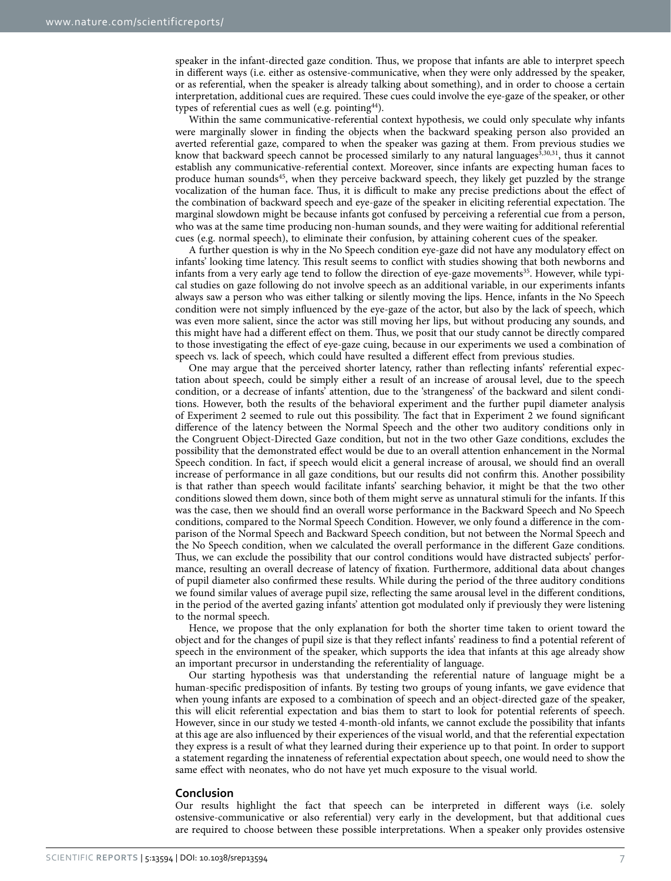speaker in the infant-directed gaze condition. Thus, we propose that infants are able to interpret speech in different ways (i.e. either as ostensive-communicative, when they were only addressed by the speaker, or as referential, when the speaker is already talking about something), and in order to choose a certain interpretation, additional cues are required. These cues could involve the eye-gaze of the speaker, or other types of referential cues as well (e.g. pointing  $44$ ).

Within the same communicative-referential context hypothesis, we could only speculate why infants were marginally slower in finding the objects when the backward speaking person also provided an averted referential gaze, compared to when the speaker was gazing at them. From previous studies we know that backward speech cannot be processed similarly to any natural languages $3,30,31$  $3,30,31$  $3,30,31$ , thus it cannot establish any communicative-referential context. Moreover, since infants are expecting human faces to produce human sound[s45](#page-9-18), when they perceive backward speech, they likely get puzzled by the strange vocalization of the human face. Thus, it is difficult to make any precise predictions about the effect of the combination of backward speech and eye-gaze of the speaker in eliciting referential expectation. The marginal slowdown might be because infants got confused by perceiving a referential cue from a person, who was at the same time producing non-human sounds, and they were waiting for additional referential cues (e.g. normal speech), to eliminate their confusion, by attaining coherent cues of the speaker.

A further question is why in the No Speech condition eye-gaze did not have any modulatory effect on infants' looking time latency. This result seems to conflict with studies showing that both newborns and infants from a very early age tend to follow the direction of eye-gaze movements<sup>35</sup>. However, while typical studies on gaze following do not involve speech as an additional variable, in our experiments infants always saw a person who was either talking or silently moving the lips. Hence, infants in the No Speech condition were not simply influenced by the eye-gaze of the actor, but also by the lack of speech, which was even more salient, since the actor was still moving her lips, but without producing any sounds, and this might have had a different effect on them. Thus, we posit that our study cannot be directly compared to those investigating the effect of eye-gaze cuing, because in our experiments we used a combination of speech vs. lack of speech, which could have resulted a different effect from previous studies.

One may argue that the perceived shorter latency, rather than reflecting infants' referential expectation about speech, could be simply either a result of an increase of arousal level, due to the speech condition, or a decrease of infants' attention, due to the 'strangeness' of the backward and silent conditions. However, both the results of the behavioral experiment and the further pupil diameter analysis of Experiment 2 seemed to rule out this possibility. The fact that in Experiment 2 we found significant difference of the latency between the Normal Speech and the other two auditory conditions only in the Congruent Object-Directed Gaze condition, but not in the two other Gaze conditions, excludes the possibility that the demonstrated effect would be due to an overall attention enhancement in the Normal Speech condition. In fact, if speech would elicit a general increase of arousal, we should find an overall increase of performance in all gaze conditions, but our results did not confirm this. Another possibility is that rather than speech would facilitate infants' searching behavior, it might be that the two other conditions slowed them down, since both of them might serve as unnatural stimuli for the infants. If this was the case, then we should find an overall worse performance in the Backward Speech and No Speech conditions, compared to the Normal Speech Condition. However, we only found a difference in the comparison of the Normal Speech and Backward Speech condition, but not between the Normal Speech and the No Speech condition, when we calculated the overall performance in the different Gaze conditions. Thus, we can exclude the possibility that our control conditions would have distracted subjects' performance, resulting an overall decrease of latency of fixation. Furthermore, additional data about changes of pupil diameter also confirmed these results. While during the period of the three auditory conditions we found similar values of average pupil size, reflecting the same arousal level in the different conditions, in the period of the averted gazing infants' attention got modulated only if previously they were listening to the normal speech.

Hence, we propose that the only explanation for both the shorter time taken to orient toward the object and for the changes of pupil size is that they reflect infants' readiness to find a potential referent of speech in the environment of the speaker, which supports the idea that infants at this age already show an important precursor in understanding the referentiality of language.

Our starting hypothesis was that understanding the referential nature of language might be a human-specific predisposition of infants. By testing two groups of young infants, we gave evidence that when young infants are exposed to a combination of speech and an object-directed gaze of the speaker, this will elicit referential expectation and bias them to start to look for potential referents of speech. However, since in our study we tested 4-month-old infants, we cannot exclude the possibility that infants at this age are also influenced by their experiences of the visual world, and that the referential expectation they express is a result of what they learned during their experience up to that point. In order to support a statement regarding the innateness of referential expectation about speech, one would need to show the same effect with neonates, who do not have yet much exposure to the visual world.

#### **Conclusion**

Our results highlight the fact that speech can be interpreted in different ways (i.e. solely ostensive-communicative or also referential) very early in the development, but that additional cues are required to choose between these possible interpretations. When a speaker only provides ostensive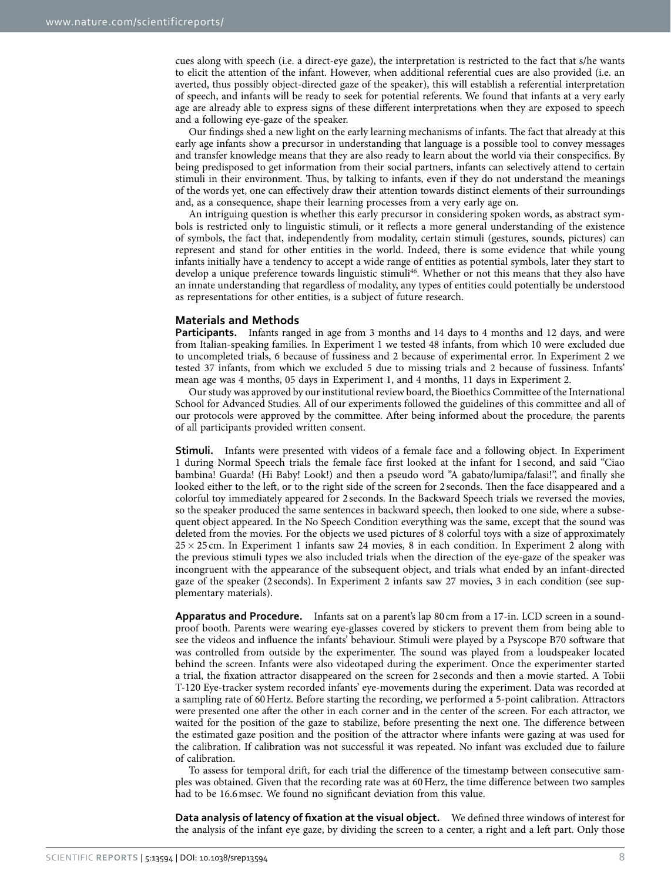cues along with speech (i.e. a direct-eye gaze), the interpretation is restricted to the fact that s/he wants to elicit the attention of the infant. However, when additional referential cues are also provided (i.e. an averted, thus possibly object-directed gaze of the speaker), this will establish a referential interpretation of speech, and infants will be ready to seek for potential referents. We found that infants at a very early age are already able to express signs of these different interpretations when they are exposed to speech and a following eye-gaze of the speaker.

Our findings shed a new light on the early learning mechanisms of infants. The fact that already at this early age infants show a precursor in understanding that language is a possible tool to convey messages and transfer knowledge means that they are also ready to learn about the world via their conspecifics. By being predisposed to get information from their social partners, infants can selectively attend to certain stimuli in their environment. Thus, by talking to infants, even if they do not understand the meanings of the words yet, one can effectively draw their attention towards distinct elements of their surroundings and, as a consequence, shape their learning processes from a very early age on.

An intriguing question is whether this early precursor in considering spoken words, as abstract symbols is restricted only to linguistic stimuli, or it reflects a more general understanding of the existence of symbols, the fact that, independently from modality, certain stimuli (gestures, sounds, pictures) can represent and stand for other entities in the world. Indeed, there is some evidence that while young infants initially have a tendency to accept a wide range of entities as potential symbols, later they start to develop a unique preference towards linguistic stimuli<sup>46</sup>. Whether or not this means that they also have an innate understanding that regardless of modality, any types of entities could potentially be understood as representations for other entities, is a subject of future research.

### **Materials and Methods**

**Participants.** Infants ranged in age from 3 months and 14 days to 4 months and 12 days, and were from Italian-speaking families. In Experiment 1 we tested 48 infants, from which 10 were excluded due to uncompleted trials, 6 because of fussiness and 2 because of experimental error. In Experiment 2 we tested 37 infants, from which we excluded 5 due to missing trials and 2 because of fussiness. Infants' mean age was 4 months, 05 days in Experiment 1, and 4 months, 11 days in Experiment 2.

Our study was approved by our institutional review board, the Bioethics Committee of the International School for Advanced Studies. All of our experiments followed the guidelines of this committee and all of our protocols were approved by the committee. After being informed about the procedure, the parents of all participants provided written consent.

**Stimuli.** Infants were presented with videos of a female face and a following object. In Experiment 1 during Normal Speech trials the female face first looked at the infant for 1 second, and said "Ciao bambina! Guarda! (Hi Baby! Look!) and then a pseudo word "A gabato/lumipa/falasi!", and finally she looked either to the left, or to the right side of the screen for 2 seconds. Then the face disappeared and a colorful toy immediately appeared for 2 seconds. In the Backward Speech trials we reversed the movies, so the speaker produced the same sentences in backward speech, then looked to one side, where a subsequent object appeared. In the No Speech Condition everything was the same, except that the sound was deleted from the movies. For the objects we used pictures of 8 colorful toys with a size of approximately  $25 \times 25$  cm. In Experiment 1 infants saw 24 movies, 8 in each condition. In Experiment 2 along with the previous stimuli types we also included trials when the direction of the eye-gaze of the speaker was incongruent with the appearance of the subsequent object, and trials what ended by an infant-directed gaze of the speaker (2 seconds). In Experiment 2 infants saw 27 movies, 3 in each condition (see supplementary materials).

**Apparatus and Procedure.** Infants sat on a parent's lap 80 cm from a 17-in. LCD screen in a soundproof booth. Parents were wearing eye-glasses covered by stickers to prevent them from being able to see the videos and influence the infants' behaviour. Stimuli were played by a Psyscope B70 software that was controlled from outside by the experimenter. The sound was played from a loudspeaker located behind the screen. Infants were also videotaped during the experiment. Once the experimenter started a trial, the fixation attractor disappeared on the screen for 2 seconds and then a movie started. A Tobii T-120 Eye-tracker system recorded infants' eye-movements during the experiment. Data was recorded at a sampling rate of 60Hertz. Before starting the recording, we performed a 5-point calibration. Attractors were presented one after the other in each corner and in the center of the screen. For each attractor, we waited for the position of the gaze to stabilize, before presenting the next one. The difference between the estimated gaze position and the position of the attractor where infants were gazing at was used for the calibration. If calibration was not successful it was repeated. No infant was excluded due to failure of calibration.

To assess for temporal drift, for each trial the difference of the timestamp between consecutive samples was obtained. Given that the recording rate was at 60Herz, the time difference between two samples had to be 16.6msec. We found no significant deviation from this value.

**Data analysis of latency of fixation at the visual object.** We defined three windows of interest for the analysis of the infant eye gaze, by dividing the screen to a center, a right and a left part. Only those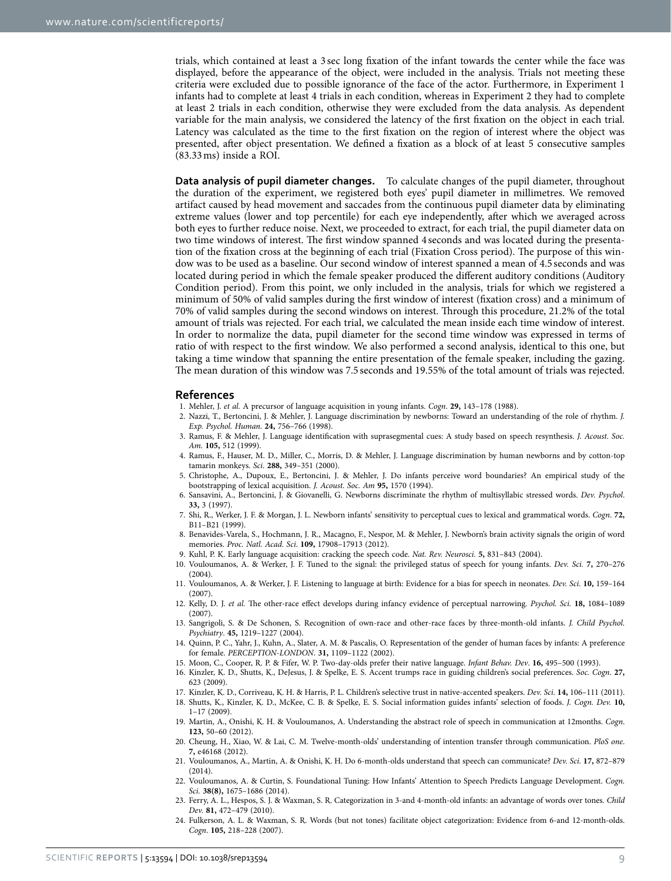trials, which contained at least a 3 sec long fixation of the infant towards the center while the face was displayed, before the appearance of the object, were included in the analysis. Trials not meeting these criteria were excluded due to possible ignorance of the face of the actor. Furthermore, in Experiment 1 infants had to complete at least 4 trials in each condition, whereas in Experiment 2 they had to complete at least 2 trials in each condition, otherwise they were excluded from the data analysis. As dependent variable for the main analysis, we considered the latency of the first fixation on the object in each trial. Latency was calculated as the time to the first fixation on the region of interest where the object was presented, after object presentation. We defined a fixation as a block of at least 5 consecutive samples (83.33ms) inside a ROI.

**Data analysis of pupil diameter changes.** To calculate changes of the pupil diameter, throughout the duration of the experiment, we registered both eyes' pupil diameter in millimetres. We removed artifact caused by head movement and saccades from the continuous pupil diameter data by eliminating extreme values (lower and top percentile) for each eye independently, after which we averaged across both eyes to further reduce noise. Next, we proceeded to extract, for each trial, the pupil diameter data on two time windows of interest. The first window spanned 4 seconds and was located during the presentation of the fixation cross at the beginning of each trial (Fixation Cross period). The purpose of this window was to be used as a baseline. Our second window of interest spanned a mean of 4.5 seconds and was located during period in which the female speaker produced the different auditory conditions (Auditory Condition period). From this point, we only included in the analysis, trials for which we registered a minimum of 50% of valid samples during the first window of interest (fixation cross) and a minimum of 70% of valid samples during the second windows on interest. Through this procedure, 21.2% of the total amount of trials was rejected. For each trial, we calculated the mean inside each time window of interest. In order to normalize the data, pupil diameter for the second time window was expressed in terms of ratio of with respect to the first window. We also performed a second analysis, identical to this one, but taking a time window that spanning the entire presentation of the female speaker, including the gazing. The mean duration of this window was 7.5 seconds and 19.55% of the total amount of trials was rejected.

#### **References**

- <span id="page-8-0"></span>1. Mehler, J. *et al.* A precursor of language acquisition in young infants. *Cogn*. **29,** 143–178 (1988).
- 2. Nazzi, T., Bertoncini, J. & Mehler, J. Language discrimination by newborns: Toward an understanding of the role of rhythm. *J. Exp. Psychol. Human*. **24,** 756–766 (1998).
- <span id="page-8-16"></span>3. Ramus, F. & Mehler, J. Language identification with suprasegmental cues: A study based on speech resynthesis. *J. Acoust. Soc. Am.* **105,** 512 (1999).
- <span id="page-8-15"></span>4. Ramus, F., Hauser, M. D., Miller, C., Morris, D. & Mehler, J. Language discrimination by human newborns and by cotton-top tamarin monkeys. *Sci*. **288,** 349–351 (2000).
- <span id="page-8-1"></span>5. Christophe, A., Dupoux, E., Bertoncini, J. & Mehler, J. Do infants perceive word boundaries? An empirical study of the bootstrapping of lexical acquisition. *J. Acoust. Soc. Am* **95,** 1570 (1994).
- <span id="page-8-2"></span>6. Sansavini, A., Bertoncini, J. & Giovanelli, G. Newborns discriminate the rhythm of multisyllabic stressed words. *Dev. Psychol*. **33,** 3 (1997).
- <span id="page-8-3"></span>7. Shi, R., Werker, J. F. & Morgan, J. L. Newborn infants' sensitivity to perceptual cues to lexical and grammatical words. *Cogn*. **72,** B11–B21 (1999).
- <span id="page-8-4"></span>8. Benavides-Varela, S., Hochmann, J. R., Macagno, F., Nespor, M. & Mehler, J. Newborn's brain activity signals the origin of word memories. *Proc. Natl. Acad. Sci*. **109,** 17908–17913 (2012).
- <span id="page-8-6"></span><span id="page-8-5"></span>9. Kuhl, P. K. Early language acquisition: cracking the speech code. *Nat. Rev. Neurosci.* **5,** 831–843 (2004).
- 10. Vouloumanos, A. & Werker, J. F. Tuned to the signal: the privileged status of speech for young infants. *Dev. Sci.* **7,** 270–276  $(2004)$
- <span id="page-8-7"></span>11. Vouloumanos, A. & Werker, J. F. Listening to language at birth: Evidence for a bias for speech in neonates. *Dev. Sci.* **10,** 159–164 (2007).
- <span id="page-8-8"></span>12. Kelly, D. J. *et al.* The other-race effect develops during infancy evidence of perceptual narrowing. *Psychol. Sci.* **18,** 1084–1089 (2007).
- 13. Sangrigoli, S. & De Schonen, S. Recognition of own-race and other-race faces by three-month-old infants. *J. Child Psychol. Psychiatry*. **45,** 1219–1227 (2004).
- 14. Quinn, P. C., Yahr, J., Kuhn, A., Slater, A. M. & Pascalis, O. Representation of the gender of human faces by infants: A preference for female. *PERCEPTION-LONDON*. **31,** 1109–1122 (2002).
- <span id="page-8-9"></span>15. Moon, C., Cooper, R. P. & Fifer, W. P. Two-day-olds prefer their native language. *Infant Behav. Dev*. **16,** 495–500 (1993).
- <span id="page-8-10"></span>16. Kinzler, K. D., Shutts, K., DeJesus, J. & Spelke, E. S. Accent trumps race in guiding children's social preferences. *Soc. Cogn*. **27,** 623 (2009).
- 17. Kinzler, K. D., Corriveau, K. H. & Harris, P. L. Children's selective trust in native‐accented speakers. *Dev. Sci.* **14,** 106–111 (2011). 18. Shutts, K., Kinzler, K. D., McKee, C. B. & Spelke, E. S. Social information guides infants' selection of foods. *J. Cogn. Dev.* **10,** 1–17 (2009).
- 19. Martin, A., Onishi, K. H. & Vouloumanos, A. Understanding the abstract role of speech in communication at 12months. *Cogn*. **123,** 50–60 (2012).
- 20. Cheung, H., Xiao, W. & Lai, C. M. Twelve-month-olds' understanding of intention transfer through communication. *PloS one*. **7,** e46168 (2012).
- <span id="page-8-11"></span>21. Vouloumanos, A., Martin, A. & Onishi, K. H. Do 6‐month‐olds understand that speech can communicate? *Dev. Sci.* **17,** 872–879 (2014).
- <span id="page-8-12"></span>22. Vouloumanos, A. & Curtin, S. Foundational Tuning: How Infants' Attention to Speech Predicts Language Development. *Cogn. Sci.* **38(8),** 1675–1686 (2014).
- <span id="page-8-13"></span>23. Ferry, A. L., Hespos, S. J. & Waxman, S. R. Categorization in 3‐and 4‐month‐old infants: an advantage of words over tones. *Child Dev.* **81,** 472–479 (2010).
- <span id="page-8-14"></span>24. Fulkerson, A. L. & Waxman, S. R. Words (but not tones) facilitate object categorization: Evidence from 6-and 12-month-olds. *Cogn*. **105,** 218–228 (2007).